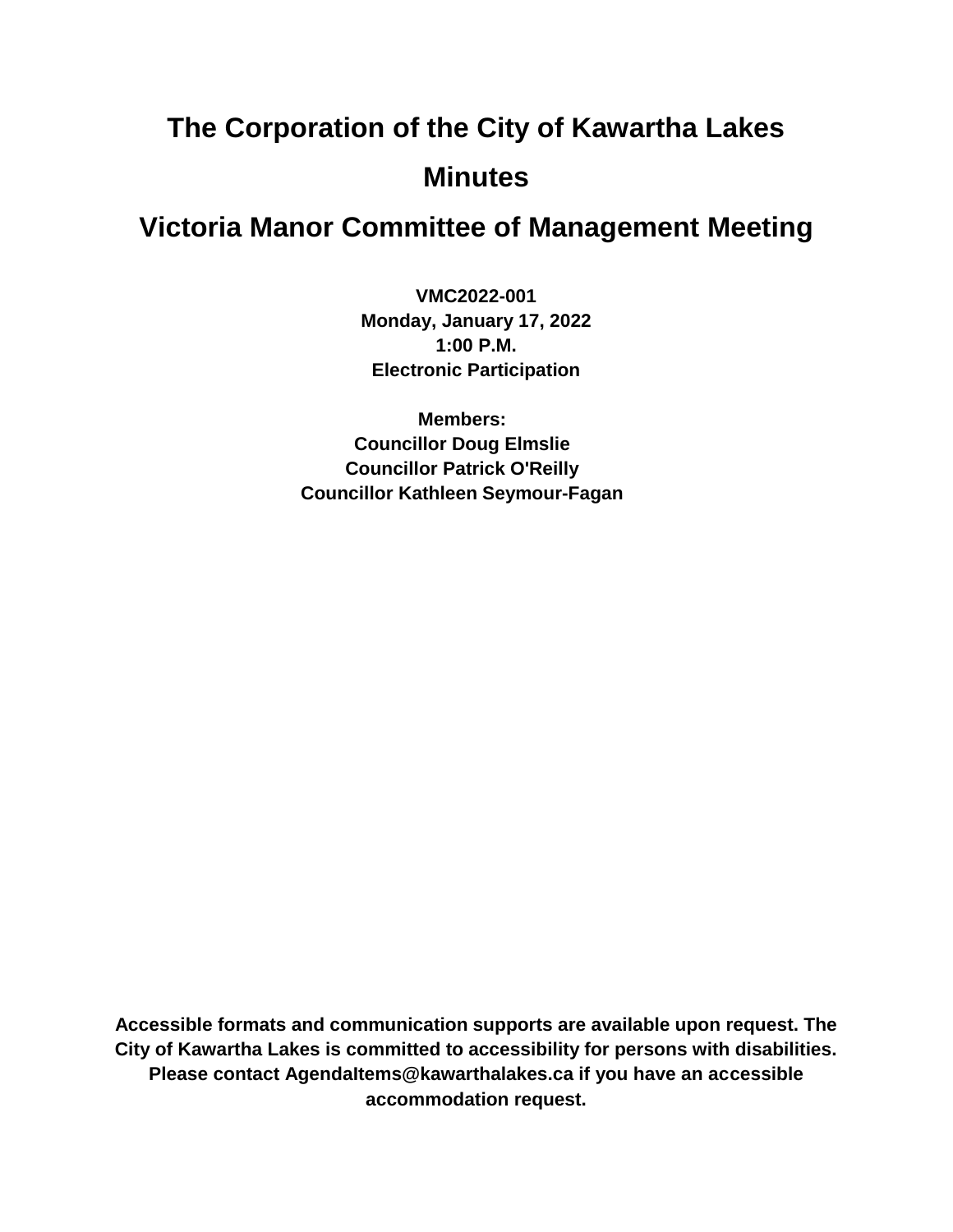# **The Corporation of the City of Kawartha Lakes Minutes**

# **Victoria Manor Committee of Management Meeting**

**VMC2022-001 Monday, January 17, 2022 1:00 P.M. Electronic Participation**

**Members: Councillor Doug Elmslie Councillor Patrick O'Reilly Councillor Kathleen Seymour-Fagan**

**Accessible formats and communication supports are available upon request. The City of Kawartha Lakes is committed to accessibility for persons with disabilities. Please contact AgendaItems@kawarthalakes.ca if you have an accessible accommodation request.**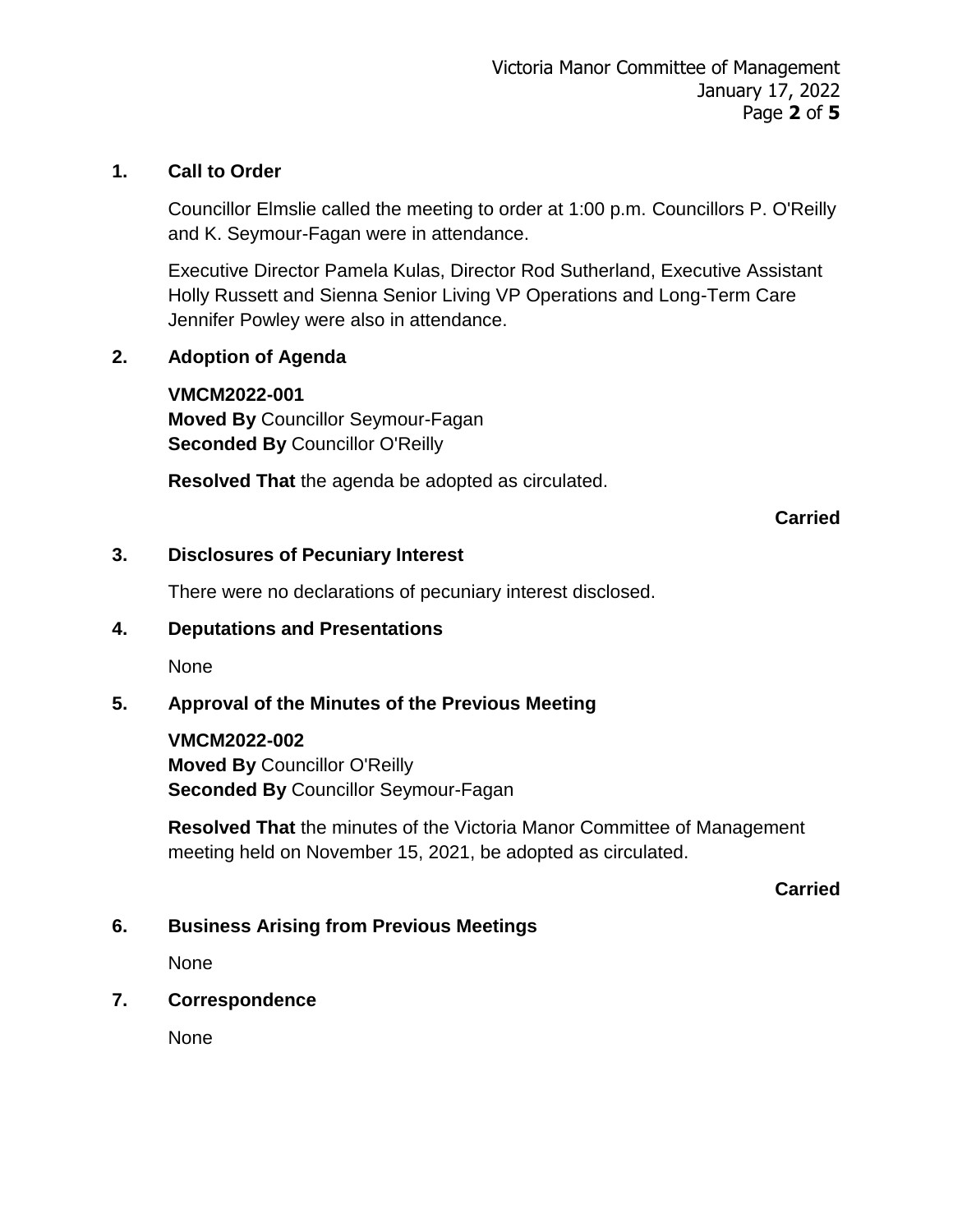#### **1. Call to Order**

Councillor Elmslie called the meeting to order at 1:00 p.m. Councillors P. O'Reilly and K. Seymour-Fagan were in attendance.

Executive Director Pamela Kulas, Director Rod Sutherland, Executive Assistant Holly Russett and Sienna Senior Living VP Operations and Long-Term Care Jennifer Powley were also in attendance.

#### **2. Adoption of Agenda**

#### **VMCM2022-001**

**Moved By** Councillor Seymour-Fagan **Seconded By** Councillor O'Reilly

**Resolved That** the agenda be adopted as circulated.

#### **Carried**

#### **3. Disclosures of Pecuniary Interest**

There were no declarations of pecuniary interest disclosed.

#### **4. Deputations and Presentations**

None

#### **5. Approval of the Minutes of the Previous Meeting**

#### **VMCM2022-002**

**Moved By** Councillor O'Reilly **Seconded By** Councillor Seymour-Fagan

**Resolved That** the minutes of the Victoria Manor Committee of Management meeting held on November 15, 2021, be adopted as circulated.

#### **Carried**

#### **6. Business Arising from Previous Meetings**

None

#### **7. Correspondence**

None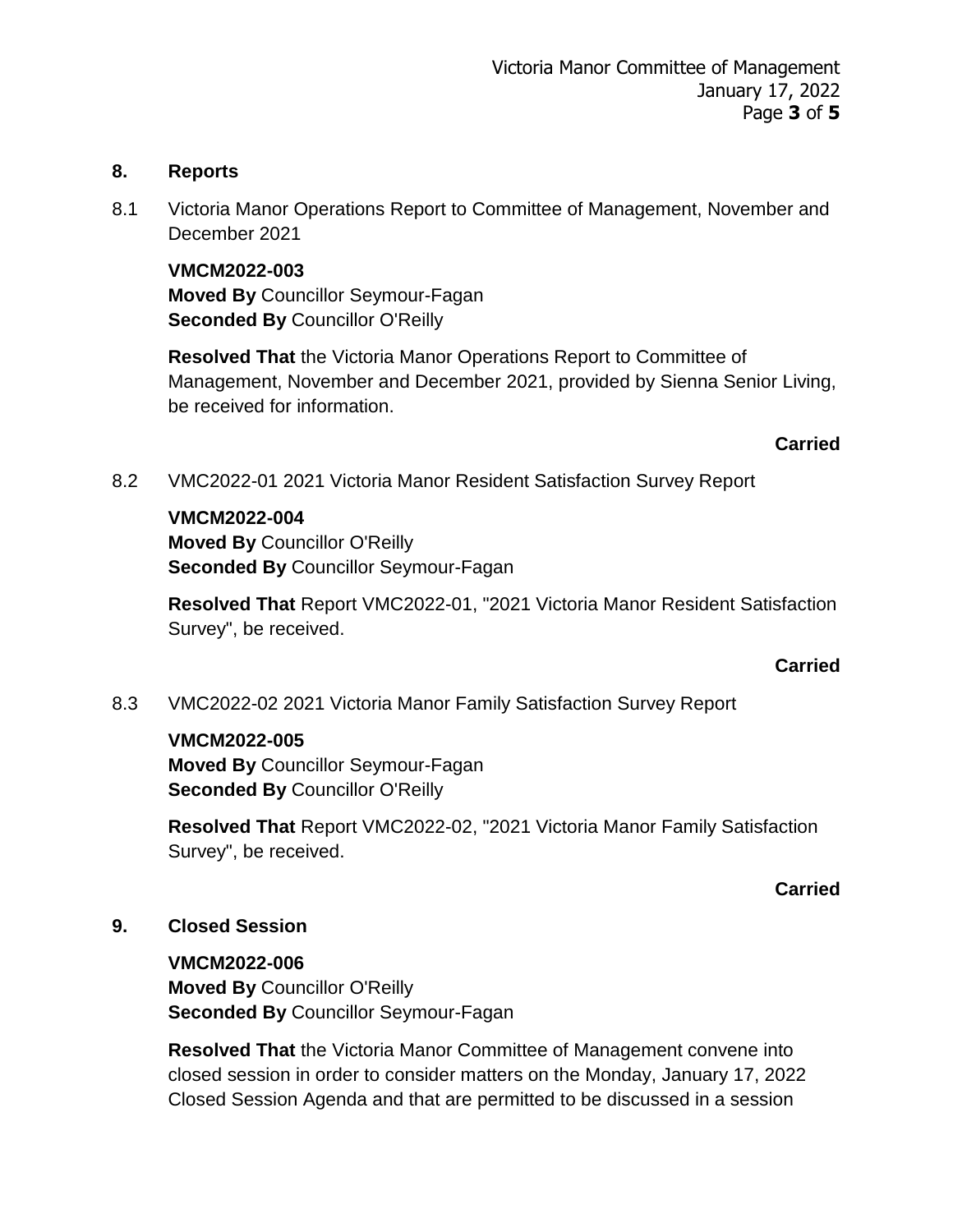#### **8. Reports**

8.1 Victoria Manor Operations Report to Committee of Management, November and December 2021

**VMCM2022-003 Moved By** Councillor Seymour-Fagan **Seconded By** Councillor O'Reilly

**Resolved That** the Victoria Manor Operations Report to Committee of Management, November and December 2021, provided by Sienna Senior Living, be received for information.

#### **Carried**

8.2 VMC2022-01 2021 Victoria Manor Resident Satisfaction Survey Report

#### **VMCM2022-004**

**Moved By** Councillor O'Reilly **Seconded By** Councillor Seymour-Fagan

**Resolved That** Report VMC2022-01, "2021 Victoria Manor Resident Satisfaction Survey", be received.

#### **Carried**

8.3 VMC2022-02 2021 Victoria Manor Family Satisfaction Survey Report

#### **VMCM2022-005**

**Moved By** Councillor Seymour-Fagan **Seconded By** Councillor O'Reilly

**Resolved That** Report VMC2022-02, "2021 Victoria Manor Family Satisfaction Survey", be received.

#### **Carried**

#### **9. Closed Session**

**VMCM2022-006 Moved By** Councillor O'Reilly **Seconded By** Councillor Seymour-Fagan

**Resolved That** the Victoria Manor Committee of Management convene into closed session in order to consider matters on the Monday, January 17, 2022 Closed Session Agenda and that are permitted to be discussed in a session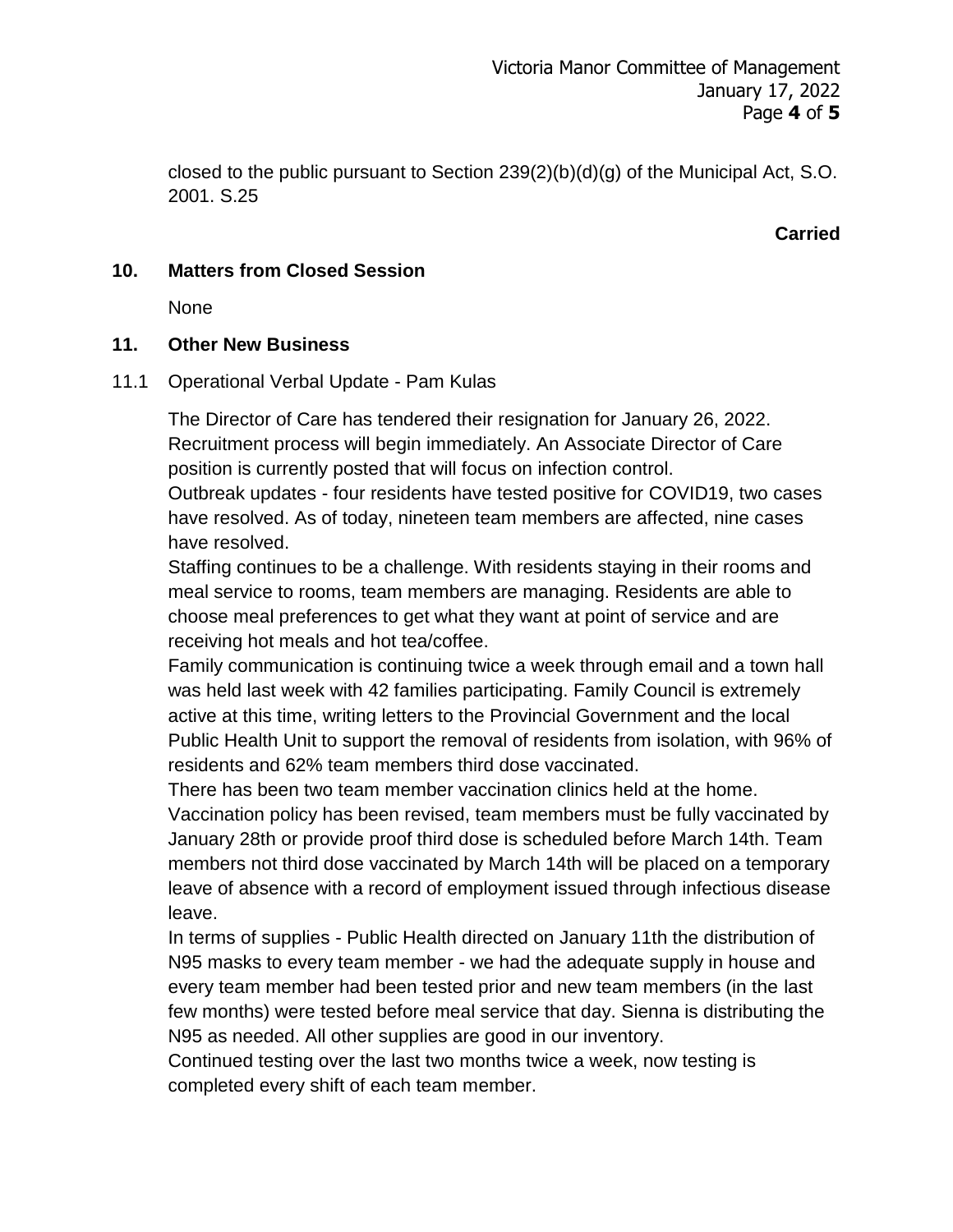closed to the public pursuant to Section 239(2)(b)(d)(g) of the Municipal Act, S.O. 2001. S.25

#### **Carried**

#### **10. Matters from Closed Session**

None

#### **11. Other New Business**

11.1 Operational Verbal Update - Pam Kulas

The Director of Care has tendered their resignation for January 26, 2022. Recruitment process will begin immediately. An Associate Director of Care position is currently posted that will focus on infection control.

Outbreak updates - four residents have tested positive for COVID19, two cases have resolved. As of today, nineteen team members are affected, nine cases have resolved.

Staffing continues to be a challenge. With residents staying in their rooms and meal service to rooms, team members are managing. Residents are able to choose meal preferences to get what they want at point of service and are receiving hot meals and hot tea/coffee.

Family communication is continuing twice a week through email and a town hall was held last week with 42 families participating. Family Council is extremely active at this time, writing letters to the Provincial Government and the local Public Health Unit to support the removal of residents from isolation, with 96% of residents and 62% team members third dose vaccinated.

There has been two team member vaccination clinics held at the home.

Vaccination policy has been revised, team members must be fully vaccinated by January 28th or provide proof third dose is scheduled before March 14th. Team members not third dose vaccinated by March 14th will be placed on a temporary leave of absence with a record of employment issued through infectious disease leave.

In terms of supplies - Public Health directed on January 11th the distribution of N95 masks to every team member - we had the adequate supply in house and every team member had been tested prior and new team members (in the last few months) were tested before meal service that day. Sienna is distributing the N95 as needed. All other supplies are good in our inventory.

Continued testing over the last two months twice a week, now testing is completed every shift of each team member.